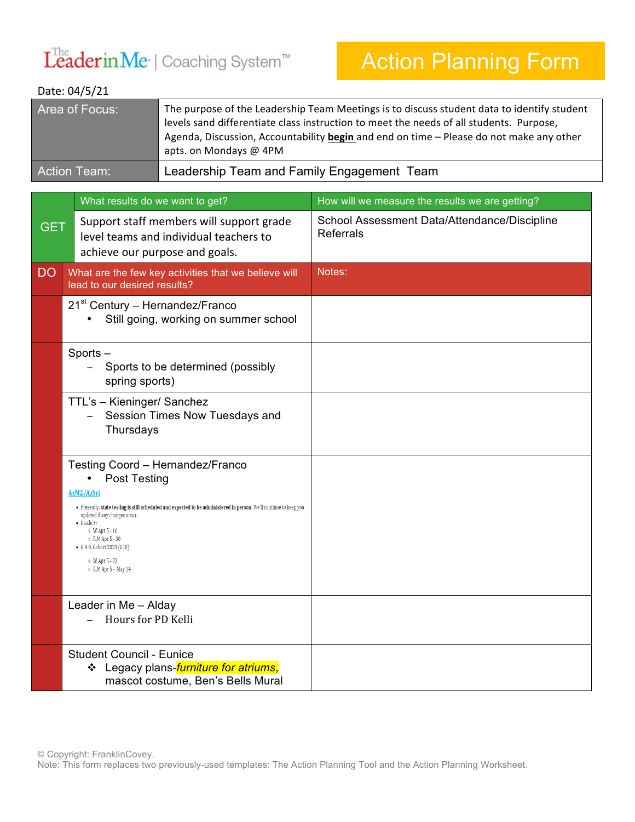## $L^{The}$ derin $M$ e $\cdot$  | Coaching System<sup>™</sup>

## Action Planning Form

## Date: 04/5/21

| Area of Focus:      | The purpose of the Leadership Team Meetings is to discuss student data to identify student<br>levels sand differentiate class instruction to meet the needs of all students. Purpose,<br>Agenda, Discussion, Accountability begin and end on time - Please do not make any other<br>apts. on Mondays @ 4PM |
|---------------------|------------------------------------------------------------------------------------------------------------------------------------------------------------------------------------------------------------------------------------------------------------------------------------------------------------|
| <b>Action Team:</b> | Leadership Team and Family Engagement Team                                                                                                                                                                                                                                                                 |

|            | What results do we want to get?                                                                                                                                                                                                                                                                                                                                     | How will we measure the results we are getting?                  |
|------------|---------------------------------------------------------------------------------------------------------------------------------------------------------------------------------------------------------------------------------------------------------------------------------------------------------------------------------------------------------------------|------------------------------------------------------------------|
| <b>GET</b> | Support staff members will support grade<br>level teams and individual teachers to<br>achieve our purpose and goals.                                                                                                                                                                                                                                                | School Assessment Data/Attendance/Discipline<br><b>Referrals</b> |
| <b>DO</b>  | What are the few key activities that we believe will<br>lead to our desired results?                                                                                                                                                                                                                                                                                | Notes:                                                           |
|            | 21 <sup>st</sup> Century - Hernandez/Franco<br>Still going, working on summer school                                                                                                                                                                                                                                                                                |                                                                  |
|            | Sports-<br>Sports to be determined (possibly<br>spring sports)                                                                                                                                                                                                                                                                                                      |                                                                  |
|            | TTL's - Kieninger/ Sanchez<br>Session Times Now Tuesdays and<br>Thursdays                                                                                                                                                                                                                                                                                           |                                                                  |
|            | Testing Coord - Hernandez/Franco<br><b>Post Testing</b><br>AzM2/AzSci<br>• Presently, state testing is still scheduled and expected to be administered in person. We'll continue to keep you<br>updated if any changes occur.<br>$\bullet$ Grade 3:<br>o W Apr 5 - 16<br>o R,M Apr 5 - 30<br>• G 4-8, Cohort 2023 (G10):<br>o W Apr 5 - 23<br>o R, M Apr 5 - May 14 |                                                                  |
|            | Leader in Me - Alday<br>Hours for PD Kelli                                                                                                                                                                                                                                                                                                                          |                                                                  |
|            | <b>Student Council - Eunice</b><br>❖ Legacy plans- <i>furniture for atriums</i> ,<br>mascot costume, Ben's Bells Mural                                                                                                                                                                                                                                              |                                                                  |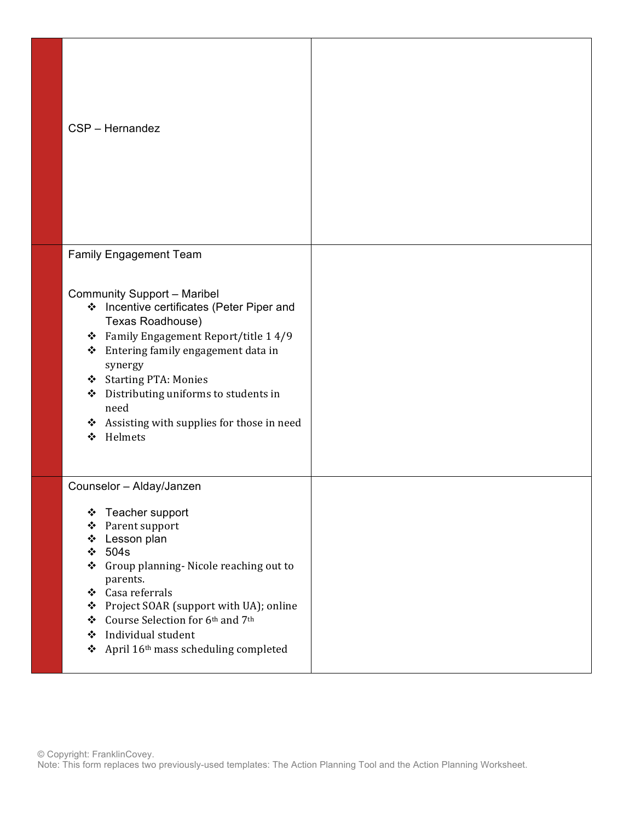| CSP - Hernandez                                                                                                                                                                                                                                                                                                                                 |  |
|-------------------------------------------------------------------------------------------------------------------------------------------------------------------------------------------------------------------------------------------------------------------------------------------------------------------------------------------------|--|
| <b>Family Engagement Team</b>                                                                                                                                                                                                                                                                                                                   |  |
| <b>Community Support - Maribel</b><br>❖ Incentive certificates (Peter Piper and<br>Texas Roadhouse)<br>❖ Family Engagement Report/title 1 4/9<br>Entering family engagement data in<br>❖<br>synergy<br>Starting PTA: Monies<br>Distributing uniforms to students in<br>❖<br>need<br>❖ Assisting with supplies for those in need<br>Helmets<br>❖ |  |
| Counselor - Alday/Janzen                                                                                                                                                                                                                                                                                                                        |  |
| Teacher support<br>❖<br>Parent support<br>❖<br>Lesson plan<br>❖<br>504s<br>❖<br>Group planning- Nicole reaching out to<br>❖<br>parents.<br>❖ Casa referrals<br>Project SOAR (support with UA); online<br>❖<br>❖ Course Selection for 6th and 7th<br>❖ Individual student<br>❖ April 16 <sup>th</sup> mass scheduling completed                  |  |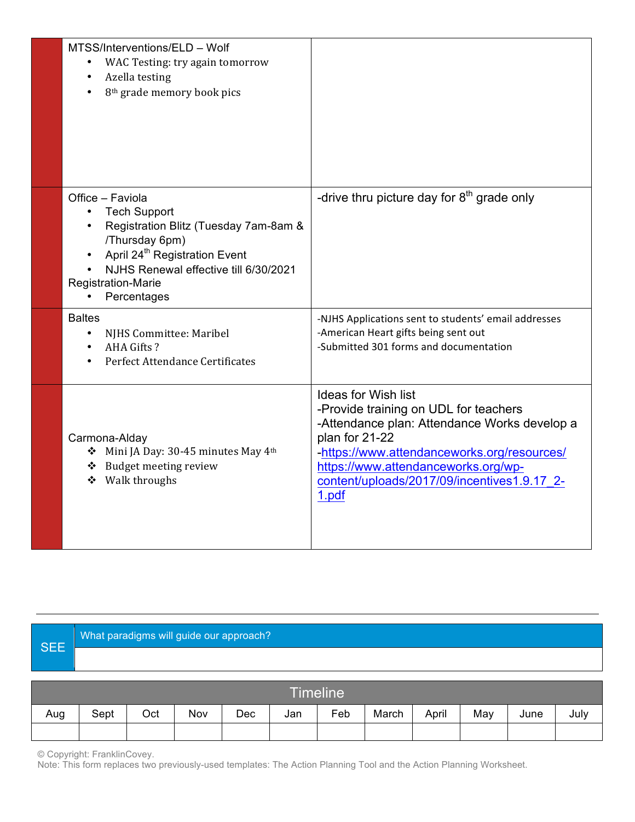| MTSS/Interventions/ELD - Wolf<br>WAC Testing: try again tomorrow<br>Azella testing<br>$\bullet$<br>8 <sup>th</sup> grade memory book pics<br>$\bullet$                                                                                                                            |                                                                                                                                                                                                                                                                                     |
|-----------------------------------------------------------------------------------------------------------------------------------------------------------------------------------------------------------------------------------------------------------------------------------|-------------------------------------------------------------------------------------------------------------------------------------------------------------------------------------------------------------------------------------------------------------------------------------|
| Office - Faviola<br><b>Tech Support</b><br>$\bullet$<br>Registration Blitz (Tuesday 7am-8am &<br>$\bullet$<br>/Thursday 6pm)<br>April 24 <sup>th</sup> Registration Event<br>$\bullet$<br>NJHS Renewal effective till 6/30/2021<br>Registration-Marie<br>Percentages<br>$\bullet$ | -drive thru picture day for $8th$ grade only                                                                                                                                                                                                                                        |
| <b>Baltes</b><br>NJHS Committee: Maribel<br>$\bullet$<br>AHA Gifts?<br>$\bullet$<br>Perfect Attendance Certificates                                                                                                                                                               | -NJHS Applications sent to students' email addresses<br>-American Heart gifts being sent out<br>-Submitted 301 forms and documentation                                                                                                                                              |
| Carmona-Alday<br>Mini JA Day: 30-45 minutes May 4th<br>❖ Budget meeting review<br>❖ Walk throughs                                                                                                                                                                                 | <b>Ideas for Wish list</b><br>-Provide training on UDL for teachers<br>-Attendance plan: Attendance Works develop a<br>plan for 21-22<br>-https://www.attendanceworks.org/resources/<br>https://www.attendanceworks.org/wp-<br>content/uploads/2017/09/incentives1.9.17 2-<br>1.pdf |

## SEE What paradigms will guide our approach?

|     |      |     |     |     |     | <b>Timeline</b> |       |       |     |      |      |
|-----|------|-----|-----|-----|-----|-----------------|-------|-------|-----|------|------|
| Aug | Sept | Oct | Nov | Dec | Jan | Feb             | March | April | May | June | July |
|     |      |     |     |     |     |                 |       |       |     |      |      |

© Copyright: FranklinCovey.

Note: This form replaces two previously-used templates: The Action Planning Tool and the Action Planning Worksheet.